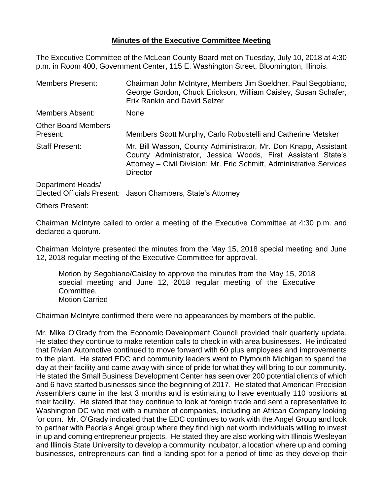## **Minutes of the Executive Committee Meeting**

The Executive Committee of the McLean County Board met on Tuesday, July 10, 2018 at 4:30 p.m. in Room 400, Government Center, 115 E. Washington Street, Bloomington, Illinois.

| <b>Members Present:</b>                | Chairman John McIntyre, Members Jim Soeldner, Paul Segobiano,<br>George Gordon, Chuck Erickson, William Caisley, Susan Schafer,<br><b>Erik Rankin and David Selzer</b>                                                     |  |
|----------------------------------------|----------------------------------------------------------------------------------------------------------------------------------------------------------------------------------------------------------------------------|--|
| Members Absent:                        | <b>None</b>                                                                                                                                                                                                                |  |
| <b>Other Board Members</b><br>Present: | Members Scott Murphy, Carlo Robustelli and Catherine Metsker                                                                                                                                                               |  |
| <b>Staff Present:</b>                  | Mr. Bill Wasson, County Administrator, Mr. Don Knapp, Assistant<br>County Administrator, Jessica Woods, First Assistant State's<br>Attorney - Civil Division; Mr. Eric Schmitt, Administrative Services<br><b>Director</b> |  |
| Department Heads/                      | $F_{\text{backod}}$ $\Lambda_{\text{final}}$ $\Lambda_{\text{final}}$ $D_{\text{mean}}$ $D_{\text{normal}}$ $D_{\text{normal}}$ $D_{\text{normal}}$ $D_{\text{total}}$ $\Lambda_{\text{normal}}$                           |  |

Elected Officials Present: Jason Chambers, State's Attorney

Others Present:

Chairman McIntyre called to order a meeting of the Executive Committee at 4:30 p.m. and declared a quorum.

Chairman McIntyre presented the minutes from the May 15, 2018 special meeting and June 12, 2018 regular meeting of the Executive Committee for approval.

Motion by Segobiano/Caisley to approve the minutes from the May 15, 2018 special meeting and June 12, 2018 regular meeting of the Executive Committee. Motion Carried

Chairman McIntyre confirmed there were no appearances by members of the public.

Mr. Mike O'Grady from the Economic Development Council provided their quarterly update. He stated they continue to make retention calls to check in with area businesses. He indicated that Rivian Automotive continued to move forward with 60 plus employees and improvements to the plant. He stated EDC and community leaders went to Plymouth Michigan to spend the day at their facility and came away with since of pride for what they will bring to our community. He stated the Small Business Development Center has seen over 200 potential clients of which and 6 have started businesses since the beginning of 2017. He stated that American Precision Assemblers came in the last 3 months and is estimating to have eventually 110 positions at their facility. He stated that they continue to look at foreign trade and sent a representative to Washington DC who met with a number of companies, including an African Company looking for corn. Mr. O'Grady indicated that the EDC continues to work with the Angel Group and look to partner with Peoria's Angel group where they find high net worth individuals willing to invest in up and coming entrepreneur projects. He stated they are also working with Illinois Wesleyan and Illinois State University to develop a community incubator, a location where up and coming businesses, entrepreneurs can find a landing spot for a period of time as they develop their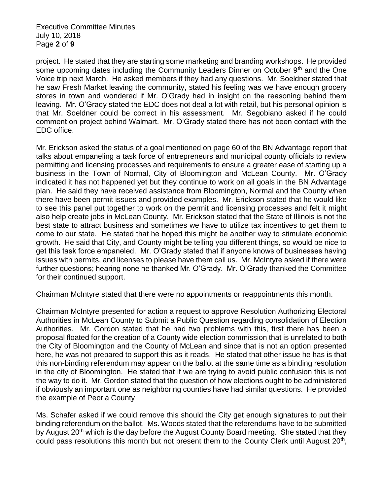Executive Committee Minutes July 10, 2018 Page **2** of **9**

project. He stated that they are starting some marketing and branding workshops. He provided some upcoming dates including the Community Leaders Dinner on October 9<sup>th</sup> and the One Voice trip next March. He asked members if they had any questions. Mr. Soeldner stated that he saw Fresh Market leaving the community, stated his feeling was we have enough grocery stores in town and wondered if Mr. O'Grady had in insight on the reasoning behind them leaving. Mr. O'Grady stated the EDC does not deal a lot with retail, but his personal opinion is that Mr. Soeldner could be correct in his assessment. Mr. Segobiano asked if he could comment on project behind Walmart. Mr. O'Grady stated there has not been contact with the EDC office.

Mr. Erickson asked the status of a goal mentioned on page 60 of the BN Advantage report that talks about empaneling a task force of entrepreneurs and municipal county officials to review permitting and licensing processes and requirements to ensure a greater ease of starting up a business in the Town of Normal, City of Bloomington and McLean County. Mr. O'Grady indicated it has not happened yet but they continue to work on all goals in the BN Advantage plan. He said they have received assistance from Bloomington, Normal and the County when there have been permit issues and provided examples. Mr. Erickson stated that he would like to see this panel put together to work on the permit and licensing processes and felt it might also help create jobs in McLean County. Mr. Erickson stated that the State of Illinois is not the best state to attract business and sometimes we have to utilize tax incentives to get them to come to our state. He stated that he hoped this might be another way to stimulate economic growth. He said that City, and County might be telling you different things, so would be nice to get this task force empaneled. Mr. O'Grady stated that if anyone knows of businesses having issues with permits, and licenses to please have them call us. Mr. McIntyre asked if there were further questions; hearing none he thanked Mr. O'Grady. Mr. O'Grady thanked the Committee for their continued support.

Chairman McIntyre stated that there were no appointments or reappointments this month.

Chairman McIntyre presented for action a request to approve Resolution Authorizing Electoral Authorities in McLean County to Submit a Public Question regarding consolidation of Election Authorities. Mr. Gordon stated that he had two problems with this, first there has been a proposal floated for the creation of a County wide election commission that is unrelated to both the City of Bloomington and the County of McLean and since that is not an option presented here, he was not prepared to support this as it reads. He stated that other issue he has is that this non-binding referendum may appear on the ballot at the same time as a binding resolution in the city of Bloomington. He stated that if we are trying to avoid public confusion this is not the way to do it. Mr. Gordon stated that the question of how elections ought to be administered if obviously an important one as neighboring counties have had similar questions. He provided the example of Peoria County

Ms. Schafer asked if we could remove this should the City get enough signatures to put their binding referendum on the ballot. Ms. Woods stated that the referendums have to be submitted by August 20<sup>th</sup> which is the day before the August County Board meeting. She stated that they could pass resolutions this month but not present them to the County Clerk until August  $20<sup>th</sup>$ ,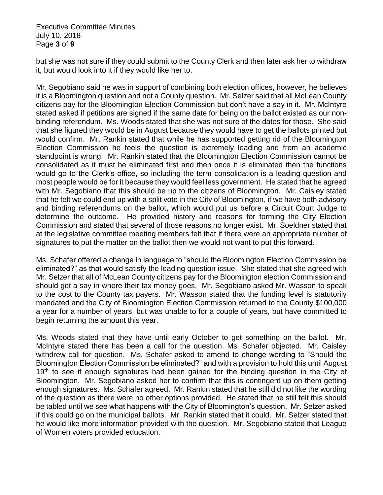Executive Committee Minutes July 10, 2018 Page **3** of **9**

but she was not sure if they could submit to the County Clerk and then later ask her to withdraw it, but would look into it if they would like her to.

Mr. Segobiano said he was in support of combining both election offices, however, he believes it is a Bloomington question and not a County question. Mr. Selzer said that all McLean County citizens pay for the Bloomington Election Commission but don't have a say in it. Mr. McIntyre stated asked if petitions are signed if the same date for being on the ballot existed as our nonbinding referendum. Ms. Woods stated that she was not sure of the dates for those. She said that she figured they would be in August because they would have to get the ballots printed but would confirm. Mr. Rankin stated that while he has supported getting rid of the Bloomington Election Commission he feels the question is extremely leading and from an academic standpoint is wrong. Mr. Rankin stated that the Bloomington Election Commission cannot be consolidated as it must be eliminated first and then once it is eliminated then the functions would go to the Clerk's office, so including the term consolidation is a leading question and most people would be for it because they would feel less government. He stated that he agreed with Mr. Segobiano that this should be up to the citizens of Bloomington. Mr. Caisley stated that he felt we could end up with a split vote in the City of Bloomington, if we have both advisory and binding referendums on the ballot, which would put us before a Circuit Court Judge to determine the outcome. He provided history and reasons for forming the City Election Commission and stated that several of those reasons no longer exist. Mr. Soeldner stated that at the legislative committee meeting members felt that if there were an appropriate number of signatures to put the matter on the ballot then we would not want to put this forward.

Ms. Schafer offered a change in language to "should the Bloomington Election Commission be eliminated?" as that would satisfy the leading question issue. She stated that she agreed with Mr. Selzer that all of McLean County citizens pay for the Bloomington election Commission and should get a say in where their tax money goes. Mr. Segobiano asked Mr. Wasson to speak to the cost to the County tax payers. Mr. Wasson stated that the funding level is statutorily mandated and the City of Bloomington Election Commission returned to the County \$100,000 a year for a number of years, but was unable to for a couple of years, but have committed to begin returning the amount this year.

Ms. Woods stated that they have until early October to get something on the ballot. Mr. McIntyre stated there has been a call for the question. Ms. Schafer objected. Mr. Caisley withdrew call for question. Ms. Schafer asked to amend to change wording to "Should the Bloomington Election Commission be eliminated?" and with a provision to hold this until August 19<sup>th</sup> to see if enough signatures had been gained for the binding question in the City of Bloomington. Mr. Segobiano asked her to confirm that this is contingent up on them getting enough signatures. Ms. Schafer agreed. Mr. Rankin stated that he still did not like the wording of the question as there were no other options provided. He stated that he still felt this should be tabled until we see what happens with the City of Bloomington's question. Mr. Selzer asked if this could go on the municipal ballots. Mr. Rankin stated that it could. Mr. Selzer stated that he would like more information provided with the question. Mr. Segobiano stated that League of Women voters provided education.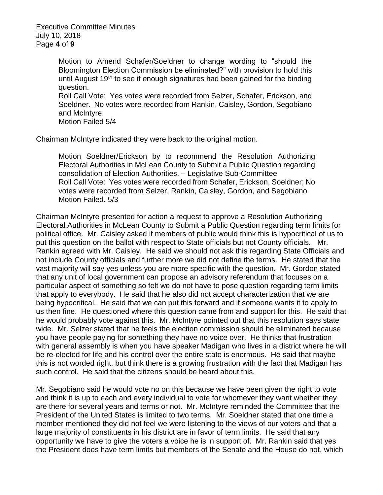Motion to Amend Schafer/Soeldner to change wording to "should the Bloomington Election Commission be eliminated?" with provision to hold this until August 19<sup>th</sup> to see if enough signatures had been gained for the binding question. Roll Call Vote: Yes votes were recorded from Selzer, Schafer, Erickson, and

Soeldner. No votes were recorded from Rankin, Caisley, Gordon, Segobiano and McIntyre

Motion Failed 5/4

Chairman McIntyre indicated they were back to the original motion.

Motion Soeldner/Erickson by to recommend the Resolution Authorizing Electoral Authorities in McLean County to Submit a Public Question regarding consolidation of Election Authorities. – Legislative Sub-Committee Roll Call Vote: Yes votes were recorded from Schafer, Erickson, Soeldner; No votes were recorded from Selzer, Rankin, Caisley, Gordon, and Segobiano Motion Failed. 5/3

Chairman McIntyre presented for action a request to approve a Resolution Authorizing Electoral Authorities in McLean County to Submit a Public Question regarding term limits for political office. Mr. Caisley asked if members of public would think this is hypocritical of us to put this question on the ballot with respect to State officials but not County officials. Mr. Rankin agreed with Mr. Caisley. He said we should not ask this regarding State Officials and not include County officials and further more we did not define the terms. He stated that the vast majority will say yes unless you are more specific with the question. Mr. Gordon stated that any unit of local government can propose an advisory referendum that focuses on a particular aspect of something so felt we do not have to pose question regarding term limits that apply to everybody. He said that he also did not accept characterization that we are being hypocritical. He said that we can put this forward and if someone wants it to apply to us then fine. He questioned where this question came from and support for this. He said that he would probably vote against this. Mr. McIntyre pointed out that this resolution says state wide. Mr. Selzer stated that he feels the election commission should be eliminated because you have people paying for something they have no voice over. He thinks that frustration with general assembly is when you have speaker Madigan who lives in a district where he will be re-elected for life and his control over the entire state is enormous. He said that maybe this is not worded right, but think there is a growing frustration with the fact that Madigan has such control. He said that the citizens should be heard about this.

Mr. Segobiano said he would vote no on this because we have been given the right to vote and think it is up to each and every individual to vote for whomever they want whether they are there for several years and terms or not. Mr. McIntyre reminded the Committee that the President of the United States is limited to two terms. Mr. Soeldner stated that one time a member mentioned they did not feel we were listening to the views of our voters and that a large majority of constituents in his district are in favor of term limits. He said that any opportunity we have to give the voters a voice he is in support of. Mr. Rankin said that yes the President does have term limits but members of the Senate and the House do not, which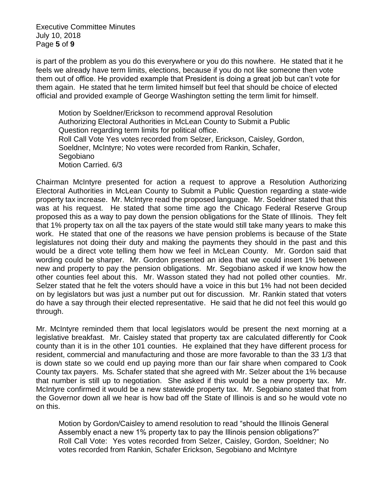Executive Committee Minutes July 10, 2018 Page **5** of **9**

is part of the problem as you do this everywhere or you do this nowhere. He stated that it he feels we already have term limits, elections, because if you do not like someone then vote them out of office. He provided example that President is doing a great job but can't vote for them again. He stated that he term limited himself but feel that should be choice of elected official and provided example of George Washington setting the term limit for himself.

Motion by Soeldner/Erickson to recommend approval Resolution Authorizing Electoral Authorities in McLean County to Submit a Public Question regarding term limits for political office. Roll Call Vote Yes votes recorded from Selzer, Erickson, Caisley, Gordon, Soeldner, McIntyre; No votes were recorded from Rankin, Schafer, Segobiano Motion Carried. 6/3

Chairman McIntyre presented for action a request to approve a Resolution Authorizing Electoral Authorities in McLean County to Submit a Public Question regarding a state-wide property tax increase. Mr. McIntyre read the proposed language. Mr. Soeldner stated that this was at his request. He stated that some time ago the Chicago Federal Reserve Group proposed this as a way to pay down the pension obligations for the State of Illinois. They felt that 1% property tax on all the tax payers of the state would still take many years to make this work. He stated that one of the reasons we have pension problems is because of the State legislatures not doing their duty and making the payments they should in the past and this would be a direct vote telling them how we feel in McLean County. Mr. Gordon said that wording could be sharper. Mr. Gordon presented an idea that we could insert 1% between new and property to pay the pension obligations. Mr. Segobiano asked if we know how the other counties feel about this. Mr. Wasson stated they had not polled other counties. Mr. Selzer stated that he felt the voters should have a voice in this but 1% had not been decided on by legislators but was just a number put out for discussion. Mr. Rankin stated that voters do have a say through their elected representative. He said that he did not feel this would go through.

Mr. McIntyre reminded them that local legislators would be present the next morning at a legislative breakfast. Mr. Caisley stated that property tax are calculated differently for Cook county than it is in the other 101 counties. He explained that they have different process for resident, commercial and manufacturing and those are more favorable to than the 33 1/3 that is down state so we could end up paying more than our fair share when compared to Cook County tax payers. Ms. Schafer stated that she agreed with Mr. Selzer about the 1% because that number is still up to negotiation. She asked if this would be a new property tax. Mr. McIntyre confirmed it would be a new statewide property tax. Mr. Segobiano stated that from the Governor down all we hear is how bad off the State of Illinois is and so he would vote no on this.

Motion by Gordon/Caisley to amend resolution to read "should the Illinois General Assembly enact a new 1% property tax to pay the Illinois pension obligations?" Roll Call Vote: Yes votes recorded from Selzer, Caisley, Gordon, Soeldner; No votes recorded from Rankin, Schafer Erickson, Segobiano and McIntyre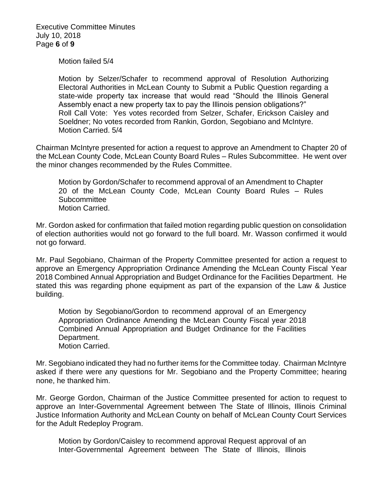Executive Committee Minutes July 10, 2018 Page **6** of **9**

Motion failed 5/4

Motion by Selzer/Schafer to recommend approval of Resolution Authorizing Electoral Authorities in McLean County to Submit a Public Question regarding a state-wide property tax increase that would read "Should the Illinois General Assembly enact a new property tax to pay the Illinois pension obligations?" Roll Call Vote: Yes votes recorded from Selzer, Schafer, Erickson Caisley and Soeldner; No votes recorded from Rankin, Gordon, Segobiano and McIntyre. Motion Carried. 5/4

Chairman McIntyre presented for action a request to approve an Amendment to Chapter 20 of the McLean County Code, McLean County Board Rules – Rules Subcommittee. He went over the minor changes recommended by the Rules Committee.

Motion by Gordon/Schafer to recommend approval of an Amendment to Chapter 20 of the McLean County Code, McLean County Board Rules – Rules **Subcommittee** Motion Carried.

Mr. Gordon asked for confirmation that failed motion regarding public question on consolidation of election authorities would not go forward to the full board. Mr. Wasson confirmed it would not go forward.

Mr. Paul Segobiano, Chairman of the Property Committee presented for action a request to approve an Emergency Appropriation Ordinance Amending the McLean County Fiscal Year 2018 Combined Annual Appropriation and Budget Ordinance for the Facilities Department. He stated this was regarding phone equipment as part of the expansion of the Law & Justice building.

Motion by Segobiano/Gordon to recommend approval of an Emergency Appropriation Ordinance Amending the McLean County Fiscal year 2018 Combined Annual Appropriation and Budget Ordinance for the Facilities Department. Motion Carried.

Mr. Segobiano indicated they had no further items for the Committee today. Chairman McIntyre asked if there were any questions for Mr. Segobiano and the Property Committee; hearing none, he thanked him.

Mr. George Gordon, Chairman of the Justice Committee presented for action to request to approve an Inter-Governmental Agreement between The State of Illinois, Illinois Criminal Justice Information Authority and McLean County on behalf of McLean County Court Services for the Adult Redeploy Program.

Motion by Gordon/Caisley to recommend approval Request approval of an Inter-Governmental Agreement between The State of Illinois, Illinois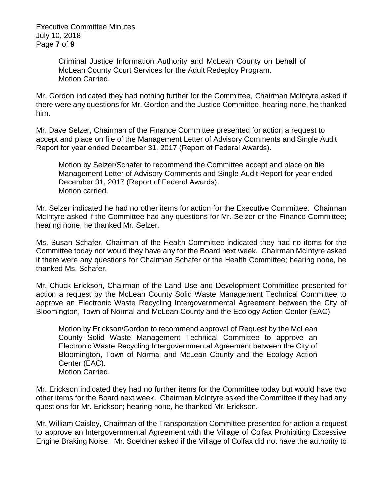Executive Committee Minutes July 10, 2018 Page **7** of **9**

> Criminal Justice Information Authority and McLean County on behalf of McLean County Court Services for the Adult Redeploy Program. Motion Carried.

Mr. Gordon indicated they had nothing further for the Committee, Chairman McIntyre asked if there were any questions for Mr. Gordon and the Justice Committee, hearing none, he thanked him.

Mr. Dave Selzer, Chairman of the Finance Committee presented for action a request to accept and place on file of the Management Letter of Advisory Comments and Single Audit Report for year ended December 31, 2017 (Report of Federal Awards).

Motion by Selzer/Schafer to recommend the Committee accept and place on file Management Letter of Advisory Comments and Single Audit Report for year ended December 31, 2017 (Report of Federal Awards). Motion carried.

Mr. Selzer indicated he had no other items for action for the Executive Committee. Chairman McIntyre asked if the Committee had any questions for Mr. Selzer or the Finance Committee; hearing none, he thanked Mr. Selzer.

Ms. Susan Schafer, Chairman of the Health Committee indicated they had no items for the Committee today nor would they have any for the Board next week. Chairman McIntyre asked if there were any questions for Chairman Schafer or the Health Committee; hearing none, he thanked Ms. Schafer.

Mr. Chuck Erickson, Chairman of the Land Use and Development Committee presented for action a request by the McLean County Solid Waste Management Technical Committee to approve an Electronic Waste Recycling Intergovernmental Agreement between the City of Bloomington, Town of Normal and McLean County and the Ecology Action Center (EAC).

Motion by Erickson/Gordon to recommend approval of Request by the McLean County Solid Waste Management Technical Committee to approve an Electronic Waste Recycling Intergovernmental Agreement between the City of Bloomington, Town of Normal and McLean County and the Ecology Action Center (EAC). Motion Carried.

Mr. Erickson indicated they had no further items for the Committee today but would have two other items for the Board next week. Chairman McIntyre asked the Committee if they had any questions for Mr. Erickson; hearing none, he thanked Mr. Erickson.

Mr. William Caisley, Chairman of the Transportation Committee presented for action a request to approve an Intergovernmental Agreement with the Village of Colfax Prohibiting Excessive Engine Braking Noise. Mr. Soeldner asked if the Village of Colfax did not have the authority to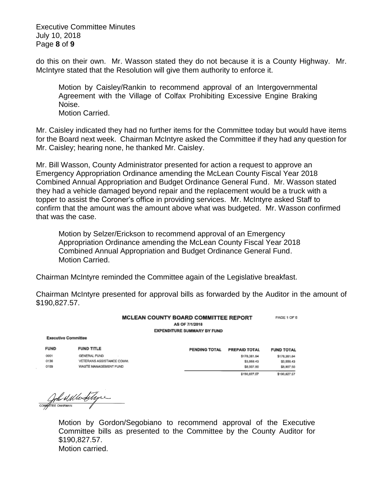Executive Committee Minutes July 10, 2018 Page **8** of **9**

do this on their own. Mr. Wasson stated they do not because it is a County Highway. Mr. McIntyre stated that the Resolution will give them authority to enforce it.

Motion by Caisley/Rankin to recommend approval of an Intergovernmental Agreement with the Village of Colfax Prohibiting Excessive Engine Braking Noise. Motion Carried.

Mr. Caisley indicated they had no further items for the Committee today but would have items for the Board next week. Chairman McIntyre asked the Committee if they had any question for Mr. Caisley; hearing none, he thanked Mr. Caisley.

Mr. Bill Wasson, County Administrator presented for action a request to approve an Emergency Appropriation Ordinance amending the McLean County Fiscal Year 2018 Combined Annual Appropriation and Budget Ordinance General Fund. Mr. Wasson stated they had a vehicle damaged beyond repair and the replacement would be a truck with a topper to assist the Coroner's office in providing services. Mr. McIntyre asked Staff to confirm that the amount was the amount above what was budgeted. Mr. Wasson confirmed that was the case.

Motion by Selzer/Erickson to recommend approval of an Emergency Appropriation Ordinance amending the McLean County Fiscal Year 2018 Combined Annual Appropriation and Budget Ordinance General Fund. Motion Carried.

Chairman McIntyre reminded the Committee again of the Legislative breakfast.

Chairman McIntyre presented for approval bills as forwarded by the Auditor in the amount of \$190,827.57.

| <b>MCLEAN COUNTY BOARD COMMITTEE REPORT</b> | PAGE 1 OF 5 |
|---------------------------------------------|-------------|
| AS OF 7/1/2018                              |             |
| <b>EXPENDITURE SUMMARY BY FUND</b>          |             |

**Executive Committee** 

| <b>FUND</b> | <b>FUND TITLE</b>              |  |
|-------------|--------------------------------|--|
| 0001        | GENERAL FUND<br><b>COLLEGE</b> |  |
| 0138        | VETERANS ASSISTANCE COMM.      |  |
| 0159        | WASTE MANAGEMENT FUND          |  |

| <b>PENDING TOTAL</b> | <b>PREPAID TOTAL</b> | <b>FUND TOTAL</b> |
|----------------------|----------------------|-------------------|
|                      | \$178,361.64         | \$178,381.64      |
|                      | \$3,558.43           | \$3,558.43        |
|                      | \$8,907.50           | \$8,907.50        |
|                      | \$190,827.57         | \$190,827.57      |

Complete distinct de la forme

Motion by Gordon/Segobiano to recommend approval of the Executive Committee bills as presented to the Committee by the County Auditor for \$190,827.57. Motion carried.